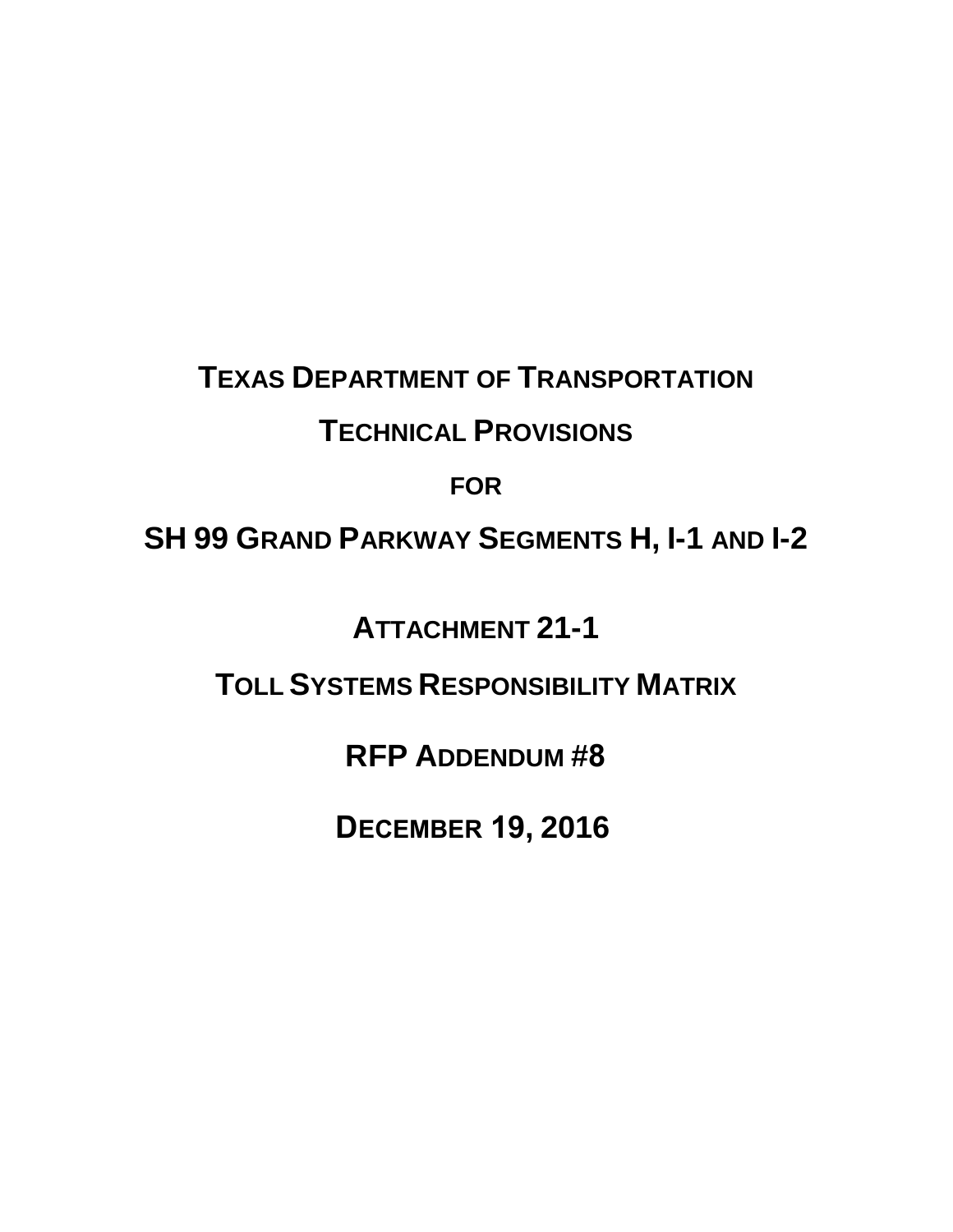# **TEXAS DEPARTMENT OF TRANSPORTATION**

### **TECHNICAL PROVISIONS**

### **FOR**

### **SH 99 GRAND PARKWAY SEGMENTS H, I-1 AND I-2**

### **ATTACHMENT 21-1**

## **TOLL SYSTEMS RESPONSIBILITY MATRIX**

### **RFP ADDENDUM #8**

## **DECEMBER 19, 2016**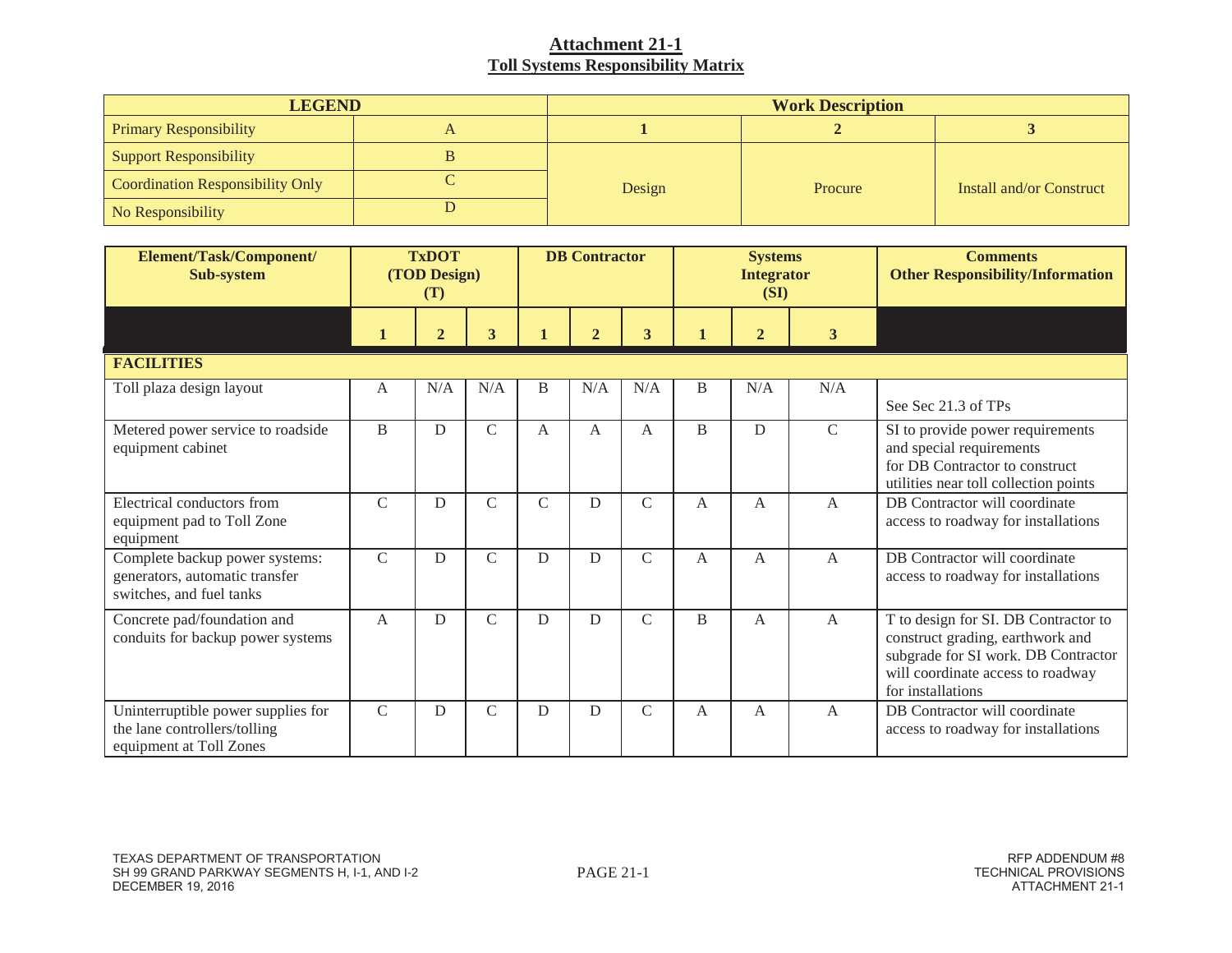| <b>LEGEND</b>                           | <b>Work Description</b> |         |                          |  |  |  |  |
|-----------------------------------------|-------------------------|---------|--------------------------|--|--|--|--|
| <b>Primary Responsibility</b>           |                         |         |                          |  |  |  |  |
| Support Responsibility                  |                         |         |                          |  |  |  |  |
| <b>Coordination Responsibility Only</b> | Design                  | Procure | Install and/or Construct |  |  |  |  |
| No Responsibility                       |                         |         |                          |  |  |  |  |

| Element/Task/Component/<br>Sub-system                                                         | <b>TxDOT</b><br>(TOD Design)<br>(T) |                |                         |               | <b>DB</b> Contractor |               |                | <b>Systems</b><br><b>Integrator</b><br>(SI) |                | <b>Comments</b><br><b>Other Responsibility/Information</b>                                                                                                                |
|-----------------------------------------------------------------------------------------------|-------------------------------------|----------------|-------------------------|---------------|----------------------|---------------|----------------|---------------------------------------------|----------------|---------------------------------------------------------------------------------------------------------------------------------------------------------------------------|
|                                                                                               |                                     | $\overline{2}$ | $\overline{\mathbf{3}}$ |               | $\overline{2}$       | 3             |                | $\overline{2}$                              | $\mathbf{3}$   |                                                                                                                                                                           |
| <b>FACILITIES</b>                                                                             |                                     |                |                         |               |                      |               |                |                                             |                |                                                                                                                                                                           |
| Toll plaza design layout                                                                      | A                                   | N/A            | N/A                     | B             | N/A                  | N/A           | B              | N/A                                         | N/A            | See Sec 21.3 of TPs                                                                                                                                                       |
| Metered power service to roadside<br>equipment cabinet                                        | B                                   | $\mathbf D$    | $\mathcal{C}$           | A             | $\mathbf{A}$         | A             | B              | D                                           | $\overline{C}$ | SI to provide power requirements<br>and special requirements<br>for DB Contractor to construct<br>utilities near toll collection points                                   |
| Electrical conductors from<br>equipment pad to Toll Zone<br>equipment                         | $\mathcal{C}$                       | D              | $\mathcal{C}$           | $\mathcal{C}$ | D                    | $\mathcal{C}$ | A              | A                                           | $\mathbf{A}$   | DB Contractor will coordinate<br>access to roadway for installations                                                                                                      |
| Complete backup power systems:<br>generators, automatic transfer<br>switches, and fuel tanks  | $\mathcal{C}$                       | D              | $\mathcal{C}$           | D             | D                    | $\mathcal{C}$ | A              | A                                           | A              | DB Contractor will coordinate<br>access to roadway for installations                                                                                                      |
| Concrete pad/foundation and<br>conduits for backup power systems                              | $\overline{A}$                      | D              | $\mathcal{C}$           | D             | D                    | $\mathcal{C}$ | $\overline{B}$ | $\mathsf{A}$                                | $\mathsf{A}$   | T to design for SI. DB Contractor to<br>construct grading, earthwork and<br>subgrade for SI work. DB Contractor<br>will coordinate access to roadway<br>for installations |
| Uninterruptible power supplies for<br>the lane controllers/tolling<br>equipment at Toll Zones | $\mathsf{C}$                        | D              | $\mathcal{C}$           | D             | D                    | $\mathcal{C}$ | A              | А                                           | $\mathbf{A}$   | DB Contractor will coordinate<br>access to roadway for installations                                                                                                      |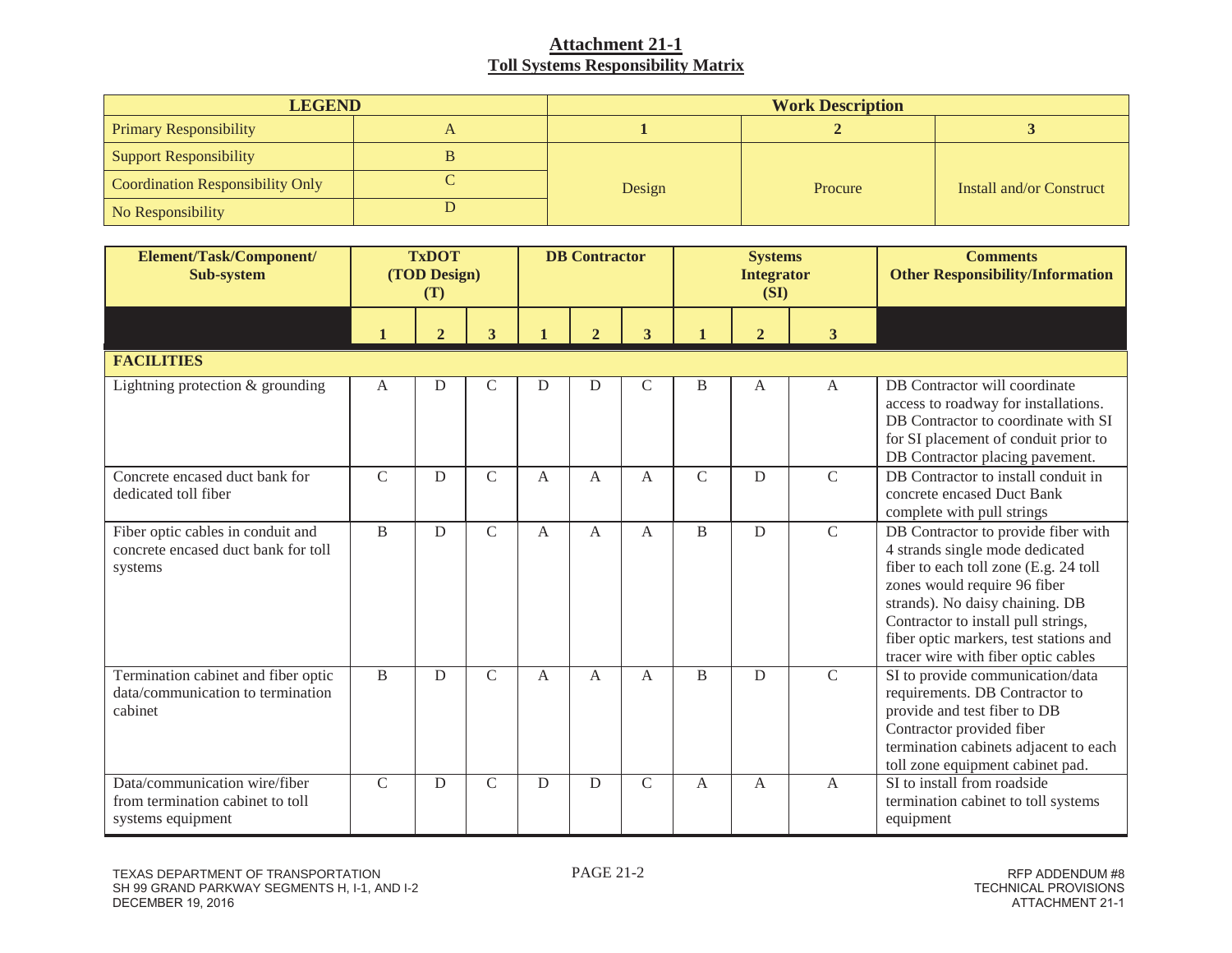| <b>LEGEND</b>                           | <b>Work Description</b> |         |                          |  |  |  |  |
|-----------------------------------------|-------------------------|---------|--------------------------|--|--|--|--|
| <b>Primary Responsibility</b>           |                         |         |                          |  |  |  |  |
| Support Responsibility                  |                         |         |                          |  |  |  |  |
| <b>Coordination Responsibility Only</b> | Design                  | Procure | Install and/or Construct |  |  |  |  |
| No Responsibility                       |                         |         |                          |  |  |  |  |

| Element/Task/Component/<br>Sub-system                                                  |               | <b>TxDOT</b><br>(TOD Design)<br>(T) |               |   | <b>DB</b> Contractor  |               | <b>Systems</b><br><b>Integrator</b><br>(SI) |                |                | <b>Comments</b><br><b>Other Responsibility/Information</b>                                                                                                                                                                                                                                                 |
|----------------------------------------------------------------------------------------|---------------|-------------------------------------|---------------|---|-----------------------|---------------|---------------------------------------------|----------------|----------------|------------------------------------------------------------------------------------------------------------------------------------------------------------------------------------------------------------------------------------------------------------------------------------------------------------|
|                                                                                        |               | $\overline{2}$                      | 3             |   | $\mathcal{D}_{\cdot}$ | 3             |                                             | $\overline{2}$ | 3              |                                                                                                                                                                                                                                                                                                            |
| <b>FACILITIES</b>                                                                      |               |                                     |               |   |                       |               |                                             |                |                |                                                                                                                                                                                                                                                                                                            |
| Lightning protection $&$ grounding                                                     | $\mathbf{A}$  | D                                   | $\mathsf{C}$  | D | D                     | $\mathsf{C}$  | B                                           | $\mathbf{A}$   | $\overline{A}$ | DB Contractor will coordinate<br>access to roadway for installations.<br>DB Contractor to coordinate with SI<br>for SI placement of conduit prior to<br>DB Contractor placing pavement.                                                                                                                    |
| Concrete encased duct bank for<br>dedicated toll fiber                                 | $\mathcal{C}$ | D                                   | $\mathcal{C}$ | A | A                     | A             | $\mathcal{C}$                               | D              | $\mathcal{C}$  | DB Contractor to install conduit in<br>concrete encased Duct Bank<br>complete with pull strings                                                                                                                                                                                                            |
| Fiber optic cables in conduit and<br>concrete encased duct bank for toll<br>systems    | B             | D                                   | $\mathcal{C}$ | A | $\overline{A}$        | $\mathsf{A}$  | B                                           | D              | $\mathcal{C}$  | DB Contractor to provide fiber with<br>4 strands single mode dedicated<br>fiber to each toll zone (E.g. 24 toll<br>zones would require 96 fiber<br>strands). No daisy chaining. DB<br>Contractor to install pull strings,<br>fiber optic markers, test stations and<br>tracer wire with fiber optic cables |
| Termination cabinet and fiber optic<br>data/communication to termination<br>cabinet    | B             | D                                   | $\mathsf{C}$  | A | A                     | A             | B                                           | $\mathbf D$    | $\overline{C}$ | SI to provide communication/data<br>requirements. DB Contractor to<br>provide and test fiber to DB<br>Contractor provided fiber<br>termination cabinets adjacent to each<br>toll zone equipment cabinet pad.                                                                                               |
| Data/communication wire/fiber<br>from termination cabinet to toll<br>systems equipment | $\mathsf{C}$  | D                                   | $\mathcal{C}$ | D | D                     | $\mathcal{C}$ | $\mathbf{A}$                                | $\mathbf{A}$   | $\mathbf{A}$   | SI to install from roadside<br>termination cabinet to toll systems<br>equipment                                                                                                                                                                                                                            |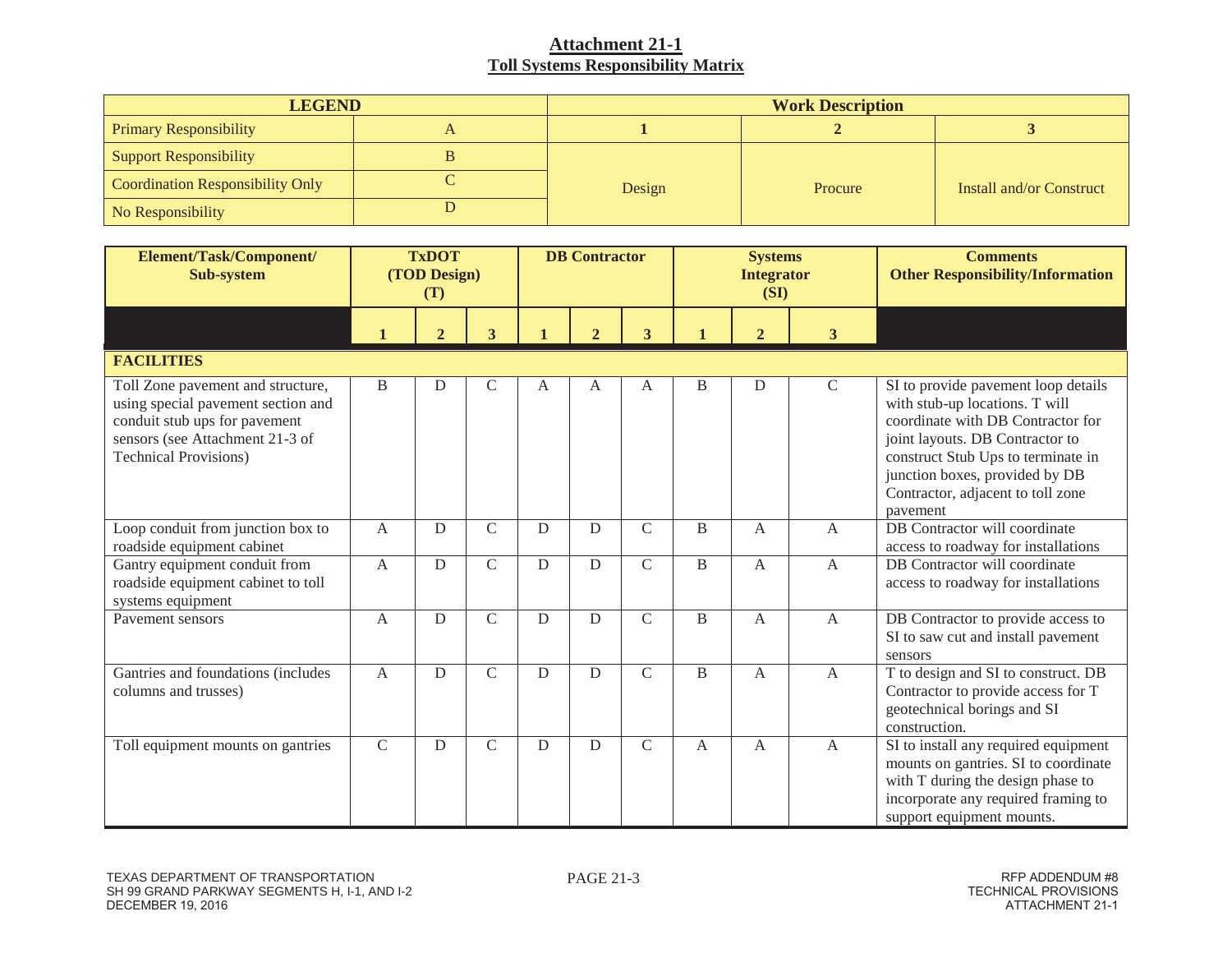| <b>LEGEND</b>                           | <b>Work Description</b> |         |                          |  |  |  |  |
|-----------------------------------------|-------------------------|---------|--------------------------|--|--|--|--|
| <b>Primary Responsibility</b>           |                         |         |                          |  |  |  |  |
| Support Responsibility                  |                         |         |                          |  |  |  |  |
| <b>Coordination Responsibility Only</b> | Design                  | Procure | Install and/or Construct |  |  |  |  |
| No Responsibility                       |                         |         |                          |  |  |  |  |

| Element/Task/Component/<br>Sub-system                                                                                                                                       | <b>TxDOT</b><br>(TOD Design)<br>(T) |                |                         | <b>DB</b> Contractor |                |                         | <b>Systems</b><br><b>Integrator</b><br>(SI) |                |                | <b>Comments</b><br><b>Other Responsibility/Information</b>                                                                                                                                                                                                             |
|-----------------------------------------------------------------------------------------------------------------------------------------------------------------------------|-------------------------------------|----------------|-------------------------|----------------------|----------------|-------------------------|---------------------------------------------|----------------|----------------|------------------------------------------------------------------------------------------------------------------------------------------------------------------------------------------------------------------------------------------------------------------------|
|                                                                                                                                                                             |                                     | $\overline{2}$ | $\overline{\mathbf{3}}$ |                      | $\overline{2}$ | $\overline{\mathbf{3}}$ |                                             | $\overline{2}$ | 3 <sup>1</sup> |                                                                                                                                                                                                                                                                        |
| <b>FACILITIES</b>                                                                                                                                                           |                                     |                |                         |                      |                |                         |                                             |                |                |                                                                                                                                                                                                                                                                        |
| Toll Zone pavement and structure,<br>using special pavement section and<br>conduit stub ups for pavement<br>sensors (see Attachment 21-3 of<br><b>Technical Provisions)</b> | B                                   | D              | $\mathsf{C}$            | A                    | A              | A                       | B                                           | D              | $\mathsf C$    | SI to provide pavement loop details<br>with stub-up locations. T will<br>coordinate with DB Contractor for<br>joint layouts. DB Contractor to<br>construct Stub Ups to terminate in<br>junction boxes, provided by DB<br>Contractor, adjacent to toll zone<br>pavement |
| Loop conduit from junction box to<br>roadside equipment cabinet                                                                                                             | $\mathbf{A}$                        | D              | $\mathsf{C}$            | D                    | D              | $\mathcal{C}$           | B                                           | A              | $\mathbf{A}$   | DB Contractor will coordinate<br>access to roadway for installations                                                                                                                                                                                                   |
| Gantry equipment conduit from<br>roadside equipment cabinet to toll<br>systems equipment                                                                                    | $\mathbf{A}$                        | D              | $\mathcal{C}$           | D                    | D              | $\mathcal{C}$           | B                                           | $\mathsf{A}$   | $\mathbf{A}$   | DB Contractor will coordinate<br>access to roadway for installations                                                                                                                                                                                                   |
| Payement sensors                                                                                                                                                            | $\mathbf{A}$                        | D              | $\mathsf{C}$            | D                    | D              | $\mathcal{C}$           | B                                           | A              | $\mathbf{A}$   | DB Contractor to provide access to<br>SI to saw cut and install pavement<br>sensors                                                                                                                                                                                    |
| Gantries and foundations (includes<br>columns and trusses)                                                                                                                  | $\mathbf{A}$                        | D              | $\mathsf{C}$            | $\mathbf D$          | D              | $\mathsf{C}$            | B                                           | A              | $\mathbf{A}$   | T to design and SI to construct. DB<br>Contractor to provide access for T<br>geotechnical borings and SI<br>construction.                                                                                                                                              |
| Toll equipment mounts on gantries                                                                                                                                           | $\mathcal{C}$                       | D              | $\mathsf{C}$            | D                    | D              | $\mathsf{C}$            | $\mathsf{A}$                                | $\mathsf{A}$   | $\mathbf{A}$   | SI to install any required equipment<br>mounts on gantries. SI to coordinate<br>with T during the design phase to<br>incorporate any required framing to<br>support equipment mounts.                                                                                  |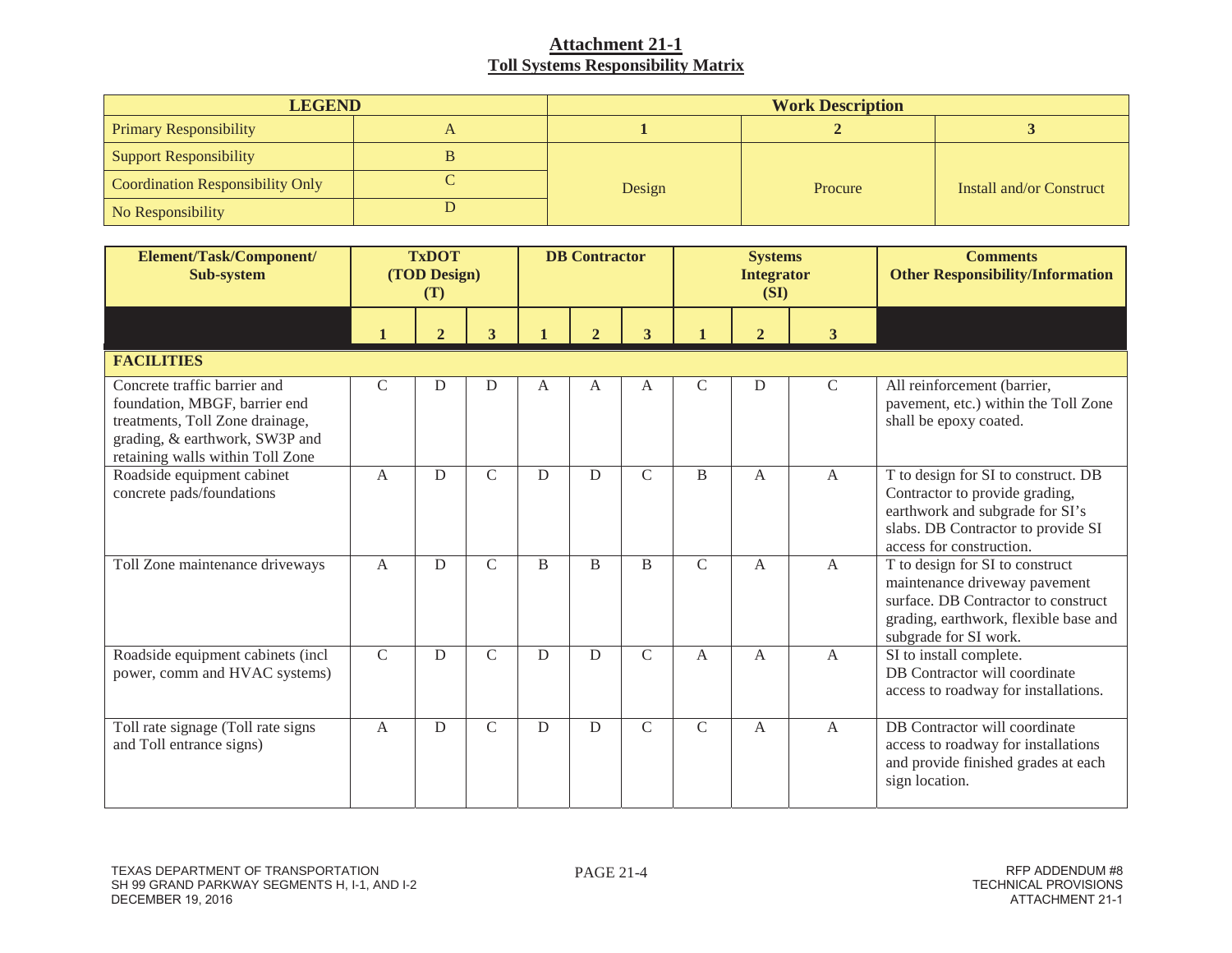| <b>LEGEND</b>                           | <b>Work Description</b> |         |                          |  |  |  |  |
|-----------------------------------------|-------------------------|---------|--------------------------|--|--|--|--|
| <b>Primary Responsibility</b>           |                         |         |                          |  |  |  |  |
| <b>Support Responsibility</b>           |                         |         |                          |  |  |  |  |
| <b>Coordination Responsibility Only</b> | Design                  | Procure | Install and/or Construct |  |  |  |  |
| No Responsibility                       |                         |         |                          |  |  |  |  |

| Element/Task/Component/<br>Sub-system                                                                                                                                  | <b>TxDOT</b><br>(TOD Design)<br>(T) |                |                | <b>DB</b> Contractor |                |                | <b>Systems</b><br><b>Integrator</b><br>(SI) |                |                | <b>Comments</b><br><b>Other Responsibility/Information</b>                                                                                                                 |
|------------------------------------------------------------------------------------------------------------------------------------------------------------------------|-------------------------------------|----------------|----------------|----------------------|----------------|----------------|---------------------------------------------|----------------|----------------|----------------------------------------------------------------------------------------------------------------------------------------------------------------------------|
|                                                                                                                                                                        | $\mathbf{1}$                        | $\overline{2}$ | 3              | $\mathbf{1}$         | $\overline{2}$ | 3              |                                             | $\overline{2}$ | $\mathbf{3}$   |                                                                                                                                                                            |
| <b>FACILITIES</b>                                                                                                                                                      |                                     |                |                |                      |                |                |                                             |                |                |                                                                                                                                                                            |
| Concrete traffic barrier and<br>foundation, MBGF, barrier end<br>treatments, Toll Zone drainage,<br>grading, & earthwork, SW3P and<br>retaining walls within Toll Zone | $\mathcal{C}$                       | D              | D              | A                    | A              | A              | $\mathsf{C}$                                | D              | $\mathsf{C}$   | All reinforcement (barrier,<br>pavement, etc.) within the Toll Zone<br>shall be epoxy coated.                                                                              |
| Roadside equipment cabinet<br>concrete pads/foundations                                                                                                                | $\mathbf{A}$                        | D              | $\mathcal{C}$  | D                    | D              | $\mathcal{C}$  | $\overline{B}$                              | A              | $\mathbf{A}$   | T to design for SI to construct. DB<br>Contractor to provide grading,<br>earthwork and subgrade for SI's<br>slabs. DB Contractor to provide SI<br>access for construction. |
| Toll Zone maintenance driveways                                                                                                                                        | $\overline{A}$                      | D              | $\mathcal{C}$  | B                    | <sub>B</sub>   | $\overline{B}$ | $\mathcal{C}$                               | $\mathsf{A}$   | $\overline{A}$ | T to design for SI to construct<br>maintenance driveway pavement<br>surface. DB Contractor to construct<br>grading, earthwork, flexible base and<br>subgrade for SI work.  |
| Roadside equipment cabinets (incl<br>power, comm and HVAC systems)                                                                                                     | $\mathcal{C}$                       | D              | $\overline{C}$ | D                    | D              | $\mathcal{C}$  | A                                           | $\mathsf{A}$   | $\overline{A}$ | SI to install complete.<br>DB Contractor will coordinate<br>access to roadway for installations.                                                                           |
| Toll rate signage (Toll rate signs<br>and Toll entrance signs)                                                                                                         | $\mathbf{A}$                        | D              | $\mathsf{C}$   | $\mathbf D$          | D              | $\mathcal{C}$  | $\mathcal{C}$                               | A              | $\mathbf{A}$   | DB Contractor will coordinate<br>access to roadway for installations<br>and provide finished grades at each<br>sign location.                                              |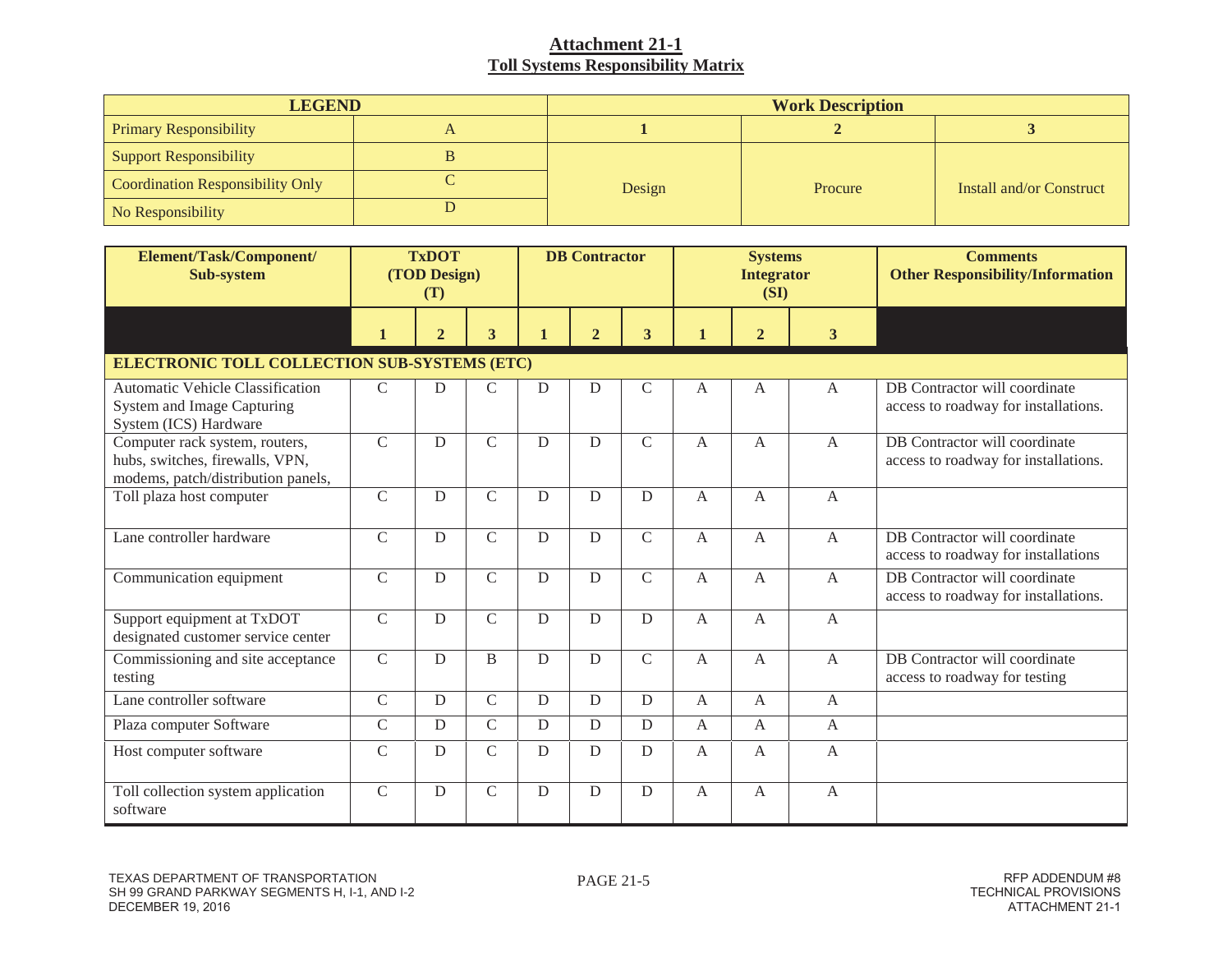| <b>LEGEND</b>                           | <b>Work Description</b> |         |                          |  |  |  |
|-----------------------------------------|-------------------------|---------|--------------------------|--|--|--|
| <b>Primary Responsibility</b>           |                         |         |                          |  |  |  |
| <b>Support Responsibility</b>           |                         |         |                          |  |  |  |
| <b>Coordination Responsibility Only</b> | Design                  | Procure | Install and/or Construct |  |  |  |
| No Responsibility                       |                         |         |                          |  |  |  |

| Element/Task/Component/<br>Sub-system                                                                   | <b>TxDOT</b><br>(TOD Design)<br>(T) |                |                         | <b>DB</b> Contractor |                |               | <b>Systems</b><br><b>Integrator</b><br>(SI) |                |                | <b>Comments</b><br><b>Other Responsibility/Information</b>            |
|---------------------------------------------------------------------------------------------------------|-------------------------------------|----------------|-------------------------|----------------------|----------------|---------------|---------------------------------------------|----------------|----------------|-----------------------------------------------------------------------|
|                                                                                                         | $\mathbf{1}$                        | $\overline{2}$ | $\overline{\mathbf{3}}$ | $\mathbf{1}$         | $\overline{2}$ | 3             | 1                                           | $\overline{2}$ | $\mathbf{3}$   |                                                                       |
| <b>ELECTRONIC TOLL COLLECTION SUB-SYSTEMS (ETC)</b>                                                     |                                     |                |                         |                      |                |               |                                             |                |                |                                                                       |
| <b>Automatic Vehicle Classification</b><br>System and Image Capturing<br>System (ICS) Hardware          | $\mathcal{C}$                       | D              | $\mathsf{C}$            | D                    | D              | $\mathsf{C}$  | A                                           | A              | $\mathbf{A}$   | DB Contractor will coordinate<br>access to roadway for installations. |
| Computer rack system, routers,<br>hubs, switches, firewalls, VPN,<br>modems, patch/distribution panels, | $\mathcal{C}$                       | D              | $\overline{C}$          | D                    | D              | $\mathcal{C}$ | A                                           | $\overline{A}$ | $\overline{A}$ | DB Contractor will coordinate<br>access to roadway for installations. |
| Toll plaza host computer                                                                                | $\mathcal{C}$                       | D              | $\mathsf{C}$            | D                    | D              | D             | $\mathsf{A}$                                | $\overline{A}$ | $\mathsf{A}$   |                                                                       |
| Lane controller hardware                                                                                | $\overline{C}$                      | D              | $\mathsf{C}$            | D                    | D              | $\mathcal{C}$ | A                                           | $\overline{A}$ | $\mathbf{A}$   | DB Contractor will coordinate<br>access to roadway for installations  |
| Communication equipment                                                                                 | $\mathsf{C}$                        | D              | $\overline{C}$          | D                    | D              | $\mathsf{C}$  | A                                           | A              | $\mathbf{A}$   | DB Contractor will coordinate<br>access to roadway for installations. |
| Support equipment at TxDOT<br>designated customer service center                                        | $\mathcal{C}$                       | D              | $\mathsf{C}$            | D                    | D              | D             | A                                           | A              | A              |                                                                       |
| Commissioning and site acceptance<br>testing                                                            | $\mathsf{C}$                        | D              | B                       | D                    | D              | $\mathcal{C}$ | A                                           | $\mathbf{A}$   | $\mathbf{A}$   | DB Contractor will coordinate<br>access to roadway for testing        |
| Lane controller software                                                                                | $\mathcal{C}$                       | D              | $\mathsf{C}$            | D                    | $\mathbf D$    | D             | A                                           | A              | $\mathbf{A}$   |                                                                       |
| Plaza computer Software                                                                                 | $\mathsf C$                         | $\mathbf D$    | $\mathcal{C}$           | D                    | ${\bf D}$      | D             | A                                           | $\mathbf{A}$   | $\mathbf{A}$   |                                                                       |
| Host computer software                                                                                  | $\mathcal{C}$                       | D              | $\mathsf{C}$            | D                    | D              | D             | $\mathsf{A}$                                | A              | A              |                                                                       |
| Toll collection system application<br>software                                                          | $\mathcal{C}$                       | D              | $\mathsf{C}$            | D                    | D              | D             | A                                           | A              | $\mathbf{A}$   |                                                                       |